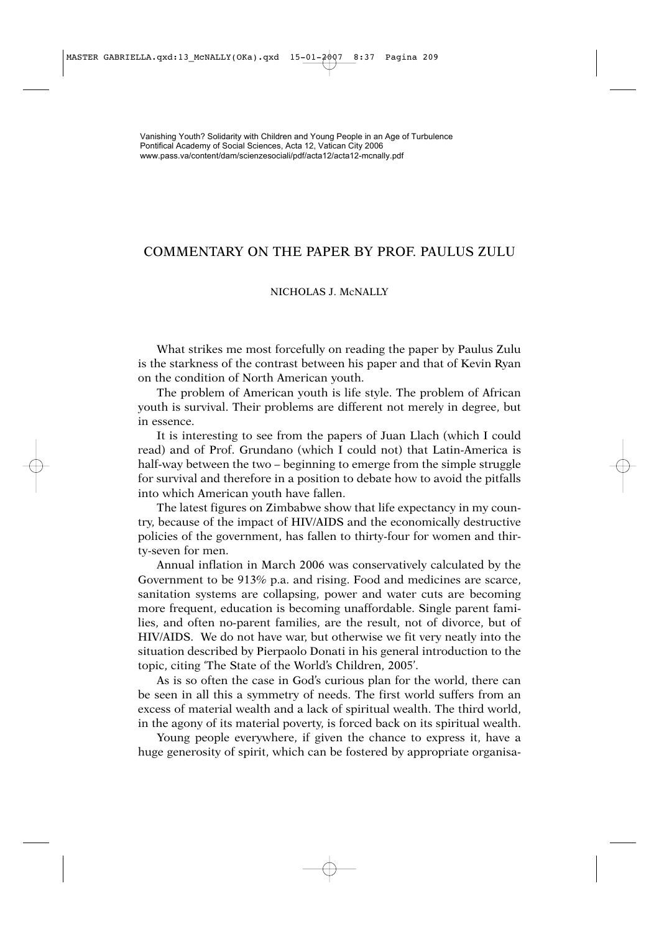## COMMENTARY ON THE PAPER BY PROF. PAULUS ZULU

## NICHOLAS J. McNALLY

What strikes me most forcefully on reading the paper by Paulus Zulu is the starkness of the contrast between his paper and that of Kevin Ryan on the condition of North American youth.

The problem of American youth is life style. The problem of African youth is survival. Their problems are different not merely in degree, but in essence.

It is interesting to see from the papers of Juan Llach (which I could read) and of Prof. Grundano (which I could not) that Latin-America is half-way between the two – beginning to emerge from the simple struggle for survival and therefore in a position to debate how to avoid the pitfalls into which American youth have fallen.

The latest figures on Zimbabwe show that life expectancy in my country, because of the impact of HIV/AIDS and the economically destructive policies of the government, has fallen to thirty-four for women and thirty-seven for men.

Annual inflation in March 2006 was conservatively calculated by the Government to be 913% p.a. and rising. Food and medicines are scarce, sanitation systems are collapsing, power and water cuts are becoming more frequent, education is becoming unaffordable. Single parent families, and often no-parent families, are the result, not of divorce, but of HIV/AIDS. We do not have war, but otherwise we fit very neatly into the situation described by Pierpaolo Donati in his general introduction to the topic, citing 'The State of the World's Children, 2005'.

As is so often the case in God's curious plan for the world, there can be seen in all this a symmetry of needs. The first world suffers from an excess of material wealth and a lack of spiritual wealth. The third world, in the agony of its material poverty, is forced back on its spiritual wealth.

Young people everywhere, if given the chance to express it, have a huge generosity of spirit, which can be fostered by appropriate organisa